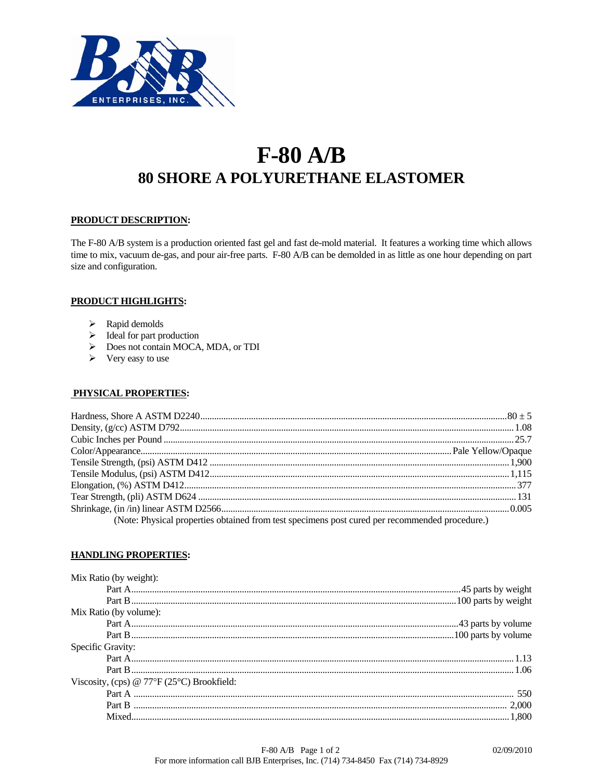

# $F-80$  A/B **80 SHORE A POLYURETHANE ELASTOMER**

## PRODUCT DESCRIPTION:

The F-80 A/B system is a production oriented fast gel and fast de-mold material. It features a working time which allows time to mix, vacuum de-gas, and pour air-free parts. F-80 A/B can be demolded in as little as one hour depending on part size and configuration.

# **PRODUCT HIGHLIGHTS:**

- $\triangleright$  Rapid demolds
- $\triangleright$  Ideal for part production
- $\triangleright$  Does not contain MOCA, MDA, or TDI
- $\triangleright$  Very easy to use

## PHYSICAL PROPERTIES:

| (Note: Physical properties obtained from test specimens post cured per recommended procedure.) |  |
|------------------------------------------------------------------------------------------------|--|

## **HANDLING PROPERTIES:**

| Mix Ratio (by weight):                                    |  |
|-----------------------------------------------------------|--|
|                                                           |  |
|                                                           |  |
| Mix Ratio (by volume):                                    |  |
|                                                           |  |
|                                                           |  |
| Specific Gravity:                                         |  |
|                                                           |  |
|                                                           |  |
| Viscosity, (cps) @ $77^{\circ}F(25^{\circ}C)$ Brookfield: |  |
|                                                           |  |
|                                                           |  |
|                                                           |  |